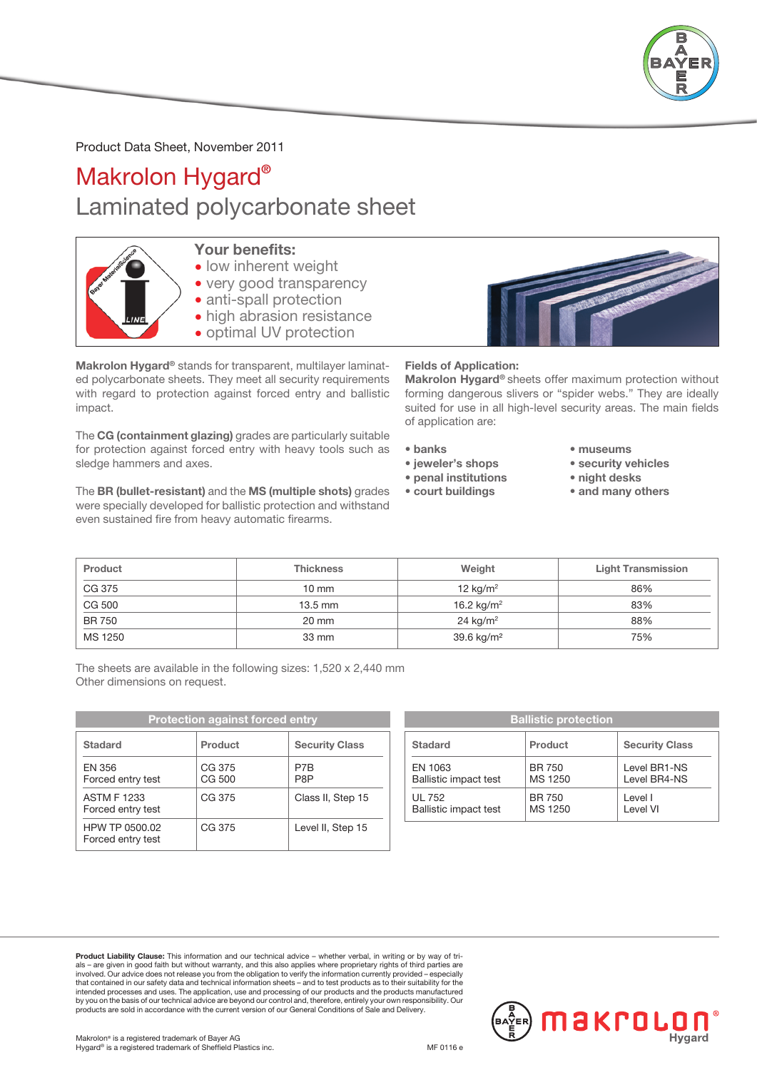

## Product Data Sheet, November 2011

## Makrolon Hygard® Laminated polycarbonate sheet



- Your benefits:
- low inherent weight
- very good transparency
- anti-spall protection
- high abrasion resistance
- optimal UV protection

Makrolon Hygard® stands for transparent, multilayer laminated polycarbonate sheets. They meet all security requirements with regard to protection against forced entry and ballistic impact.

The CG (containment glazing) grades are particularly suitable for protection against forced entry with heavy tools such as sledge hammers and axes.

The BR (bullet-resistant) and the MS (multiple shots) grades were specially developed for ballistic protection and withstand even sustained fire from heavy automatic firearms.



Fields of Application:

Makrolon Hygard® sheets offer maximum protection without forming dangerous slivers or "spider webs." They are ideally suited for use in all high-level security areas. The main fields of application are:

- banks
- jeweler's shops
- penal institutions
- court buildings
- museums
- security vehicles
- night desks
- and many others

| Product | <b>Thickness</b>  | Weight                 | <b>Light Transmission</b> |
|---------|-------------------|------------------------|---------------------------|
| CG 375  | $10 \text{ mm}$   | 12 $kg/m2$             | 86%                       |
| CG 500  | $13.5 \text{ mm}$ | 16.2 kg/m <sup>2</sup> | 83%                       |
| BR 750  | 20 mm             | $24 \text{ kg/m}^2$    | 88%                       |
| MS 1250 | 33 mm             | 39.6 kg/m <sup>2</sup> | 75%                       |

 The sheets are available in the following sizes: 1,520 x 2,440 mm Other dimensions on request.

| <b>Protection against forced entry</b>  |                  | <b>Ballistic protection</b> |                                         |                   |
|-----------------------------------------|------------------|-----------------------------|-----------------------------------------|-------------------|
| <b>Stadard</b>                          | Product          | <b>Security Class</b>       | <b>Stadard</b>                          | <b>Product</b>    |
| EN 356<br>Forced entry test             | CG 375<br>CG 500 | P7B<br>P8P                  | EN 1063<br><b>Ballistic impact test</b> | BR 750<br>MS 1250 |
| <b>ASTM F 1233</b><br>Forced entry test | CG 375           | Class II, Step 15           | UL 752<br><b>Ballistic impact test</b>  | BR 750<br>MS 1250 |
| HPW TP 0500.02<br>Forced entry test     | CG 375           | Level II, Step 15           |                                         |                   |

|                              | <b>Ballistic protection</b> |                       |
|------------------------------|-----------------------------|-----------------------|
| <b>Stadard</b>               | Product                     | <b>Security Class</b> |
| EN 1063                      | <b>BR 750</b>               | Level BR1-NS          |
| <b>Ballistic impact test</b> | MS 1250                     | Level BR4-NS          |
| UL 752                       | <b>BR 750</b>               | Level I               |
| <b>Ballistic impact test</b> | MS 1250                     | Level VI              |

 Product Liability Clause: This information and our technical advice – whether verbal, in writing or by way of trials – are given in good faith but without warranty, and this also applies where proprietary rights of third parties are<br>involved. Our advice does not release you from the obligation to verify the information currently prov that contained in our safety data and technical information sheets – and to test products as to their suitability for the intended processes and uses. The application, use and processing of our products and the products manufactured by you on the basis of our technical advice are beyond our control and, therefore, entirely your own responsibility. Our<br>products are sold in accordance with the current version of our General Conditions of Sale and Delive